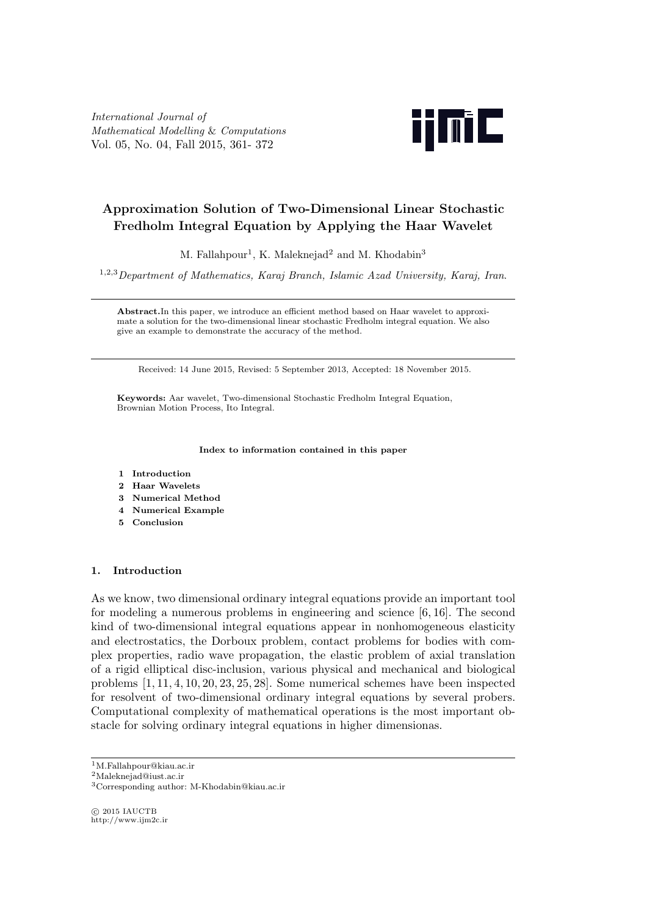*International Journal of Mathematical Modelling* & *Computations* Vol. 05, No. 04, Fall 2015, 361- 372



# **Approximation Solution of Two-Dimensional Linear Stochastic Fredholm Integral Equation by Applying the Haar Wavelet**

M. Fallahpour<sup>1</sup>, K. Maleknejad<sup>2</sup> and M. Khodabin<sup>3</sup>

<sup>1</sup>*,*2*,*<sup>3</sup>*Department of Mathematics, Karaj Branch, Islamic Azad University, Karaj, Iran*.

**Abstract.**In this paper, we introduce an efficient method based on Haar wavelet to approximate a solution for the two-dimensional linear stochastic Fredholm integral equation. We also give an example to demonstrate the accuracy of the method.

Received: 14 June 2015, Revised: 5 September 2013, Accepted: 18 November 2015.

**Keywords:** Aar wavelet, Two-dimensional Stochastic Fredholm Integral Equation, Brownian Motion Process, Ito Integral.

#### **Index to information contained in this paper**

- **1 Introduction**
- **2 Haar Wavelets**
- **3 Numerical Method**
- **4 Numerical Example**
- **5 Conclusion**

#### **1. Introduction**

As we know, two dimensional ordinary integral equations provide an important tool for modeling a numerous problems in engineering and science [6*,* 16]. The second kind of two-dimensional integral equations appear in nonhomogeneous elasticity and electrostatics, the Dorboux problem, contact problems for bodies with complex properties, radio wave propagation, the elastic problem of axial translation of a rigid elliptical disc-inclusion, various physical and mechanical and biological problems [1*,* 11*,* 4*,* 10*,* 20*,* 23*,* 25*,* 28]. Some numerical schemes have been inspected for resolvent of two-dimensional ordinary integral equations by several probers. Computational complexity of mathematical operations is the most important obstacle for solving ordinary integral equations in higher dimensionas.

<sup>2</sup>Maleknejad@iust.ac.ir

*⃝*c 2015 IAUCTB http://www.ijm2c.ir

<sup>1</sup>M.Fallahpour@kiau.ac.ir

<sup>3</sup>Corresponding author: M-Khodabin@kiau.ac.ir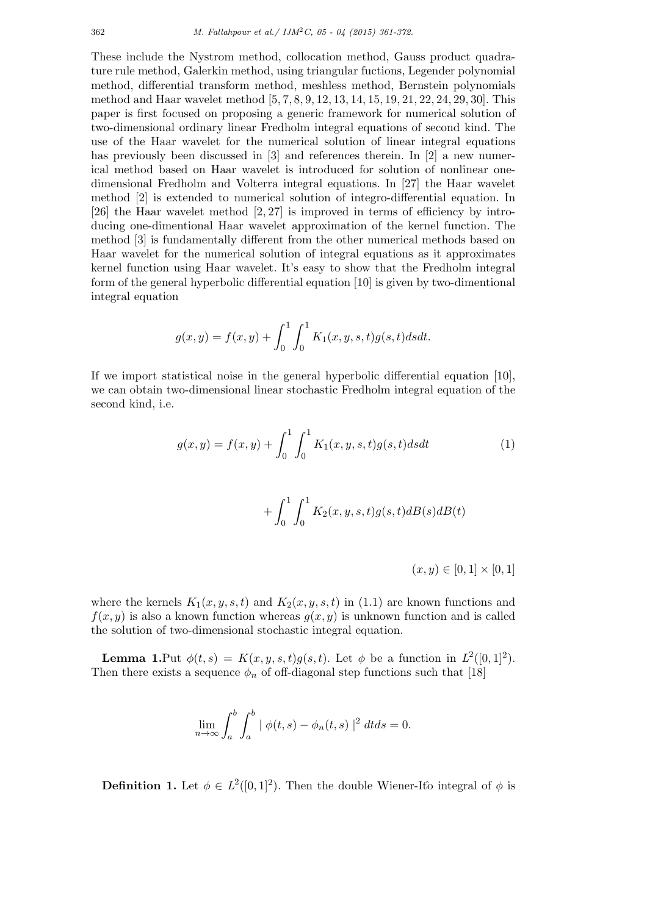These include the Nystrom method, collocation method, Gauss product quadrature rule method, Galerkin method, using triangular fuctions, Legender polynomial method, differential transform method, meshless method, Bernstein polynomials method and Haar wavelet method [5*,* 7*,* 8*,* 9*,* 12*,* 13*,* 14*,* 15*,* 19*,* 21*,* 22*,* 24*,* 29*,* 30]. This paper is first focused on proposing a generic framework for numerical solution of two-dimensional ordinary linear Fredholm integral equations of second kind. The use of the Haar wavelet for the numerical solution of linear integral equations has previously been discussed in [3] and references therein. In [2] a new numerical method based on Haar wavelet is introduced for solution of nonlinear onedimensional Fredholm and Volterra integral equations. In [27] the Haar wavelet method [2] is extended to numerical solution of integro-differential equation. In [26] the Haar wavelet method [2*,* 27] is improved in terms of efficiency by introducing one-dimentional Haar wavelet approximation of the kernel function. The method [3] is fundamentally different from the other numerical methods based on Haar wavelet for the numerical solution of integral equations as it approximates kernel function using Haar wavelet. It's easy to show that the Fredholm integral form of the general hyperbolic differential equation [10] is given by two-dimentional integral equation

$$
g(x, y) = f(x, y) + \int_0^1 \int_0^1 K_1(x, y, s, t) g(s, t) ds dt.
$$

If we import statistical noise in the general hyperbolic differential equation [10], we can obtain two-dimensional linear stochastic Fredholm integral equation of the second kind, i.e.

$$
g(x,y) = f(x,y) + \int_0^1 \int_0^1 K_1(x,y,s,t)g(s,t)dsdt
$$
 (1)

$$
+ \int_0^1 \int_0^1 K_2(x, y, s, t) g(s, t) dB(s) dB(t)
$$

 $(x, y) \in [0, 1] \times [0, 1]$ 

where the kernels  $K_1(x, y, s, t)$  and  $K_2(x, y, s, t)$  in (1.1) are known functions and  $f(x, y)$  is also a known function whereas  $g(x, y)$  is unknown function and is called the solution of two-dimensional stochastic integral equation.

**Lemma 1.**Put  $\phi(t,s) = K(x,y,s,t)g(s,t)$ . Let  $\phi$  be a function in  $L^2([0,1]^2)$ . Then there exists a sequence  $\phi_n$  of off-diagonal step functions such that [18]

$$
\lim_{n \to \infty} \int_a^b \int_a^b | \phi(t,s) - \phi_n(t,s) |^2 dt ds = 0.
$$

**Definition 1.** Let  $\phi \in L^2([0,1]^2)$ . Then the double Wiener-Itô integral of  $\phi$  is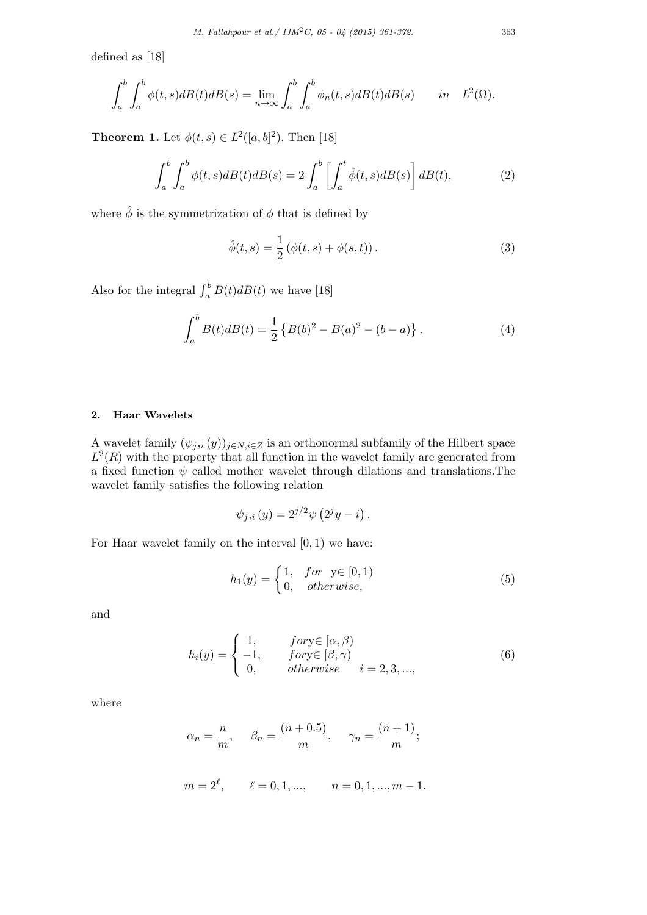defined as [18]

$$
\int_a^b \int_a^b \phi(t,s) dB(t) dB(s) = \lim_{n \to \infty} \int_a^b \int_a^b \phi_n(t,s) dB(t) dB(s) \quad in \quad L^2(\Omega).
$$

**Theorem 1.** Let  $\phi(t, s) \in L^2([a, b]^2)$ . Then [18]

$$
\int_{a}^{b} \int_{a}^{b} \phi(t,s) dB(t) dB(s) = 2 \int_{a}^{b} \left[ \int_{a}^{t} \hat{\phi}(t,s) dB(s) \right] dB(t), \tag{2}
$$

where  $\hat{\phi}$  is the symmetrization of  $\phi$  that is defined by

$$
\hat{\phi}(t,s) = \frac{1}{2} (\phi(t,s) + \phi(s,t)).
$$
\n(3)

Also for the integral  $\int_a^b B(t)dB(t)$  we have [18]

$$
\int_{a}^{b} B(t)dB(t) = \frac{1}{2} \left\{ B(b)^{2} - B(a)^{2} - (b - a) \right\}.
$$
 (4)

## **2. Haar Wavelets**

A wavelet family  $(\psi_j, i(y))_{j \in N, i \in Z}$  is an orthonormal subfamily of the Hilbert space  $L^2(R)$  with the property that all function in the wavelet family are generated from a fixed function  $\psi$  called mother wavelet through dilations and translations. The wavelet family satisfies the following relation

$$
\psi_{j,i}(y) = 2^{j/2}\psi\left(2^jy - i\right).
$$

For Haar wavelet family on the interval [0*,* 1) we have:

$$
h_1(y) = \begin{cases} 1, & \text{for } y \in [0, 1) \\ 0, & \text{otherwise,} \end{cases} \tag{5}
$$

and

$$
h_i(y) = \begin{cases} 1, & \text{for } y \in [\alpha, \beta) \\ -1, & \text{for } y \in [\beta, \gamma) \\ 0, & \text{otherwise} \end{cases} \quad i = 2, 3, ..., \tag{6}
$$

where

$$
\alpha_n = \frac{n}{m}
$$
,  $\beta_n = \frac{(n+0.5)}{m}$ ,  $\gamma_n = \frac{(n+1)}{m}$ ;  
\n $m = 2^{\ell}$ ,  $\ell = 0, 1, ..., \qquad n = 0, 1, ..., m - 1$ .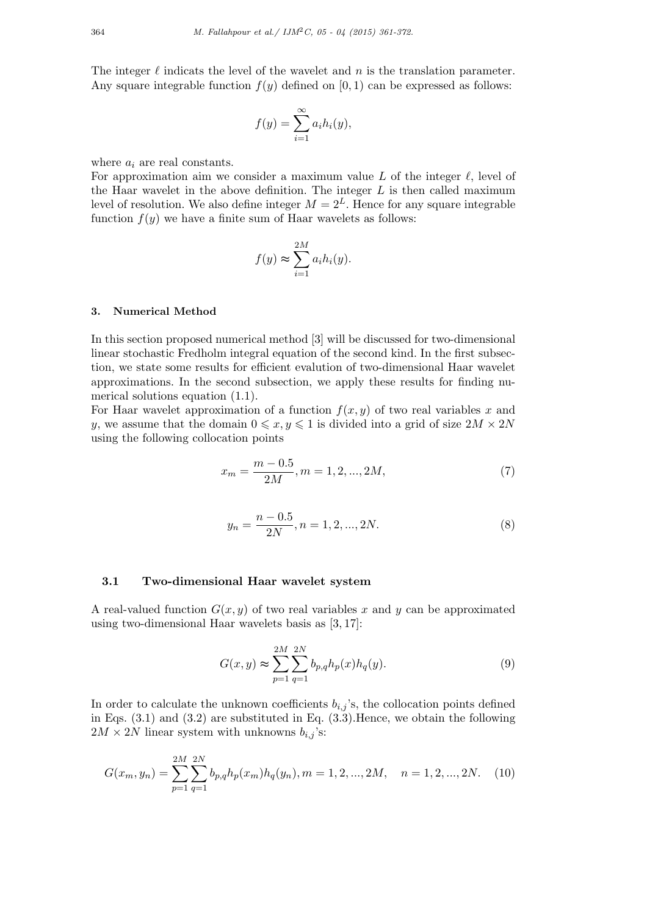The integer  $\ell$  indicats the level of the wavelet and  $n$  is the translation parameter. Any square integrable function  $f(y)$  defined on [0, 1) can be expressed as follows:

$$
f(y) = \sum_{i=1}^{\infty} a_i h_i(y),
$$

where *a<sup>i</sup>* are real constants.

For approximation aim we consider a maximum value *L* of the integer *ℓ,* level of the Haar wavelet in the above definition. The integer *L* is then called maximum level of resolution. We also define integer  $M = 2^L$ . Hence for any square integrable function  $f(y)$  we have a finite sum of Haar wavelets as follows:

$$
f(y) \approx \sum_{i=1}^{2M} a_i h_i(y).
$$

#### **3. Numerical Method**

In this section proposed numerical method [3] will be discussed for two-dimensional linear stochastic Fredholm integral equation of the second kind. In the first subsection, we state some results for efficient evalution of two-dimensional Haar wavelet approximations. In the second subsection, we apply these results for finding numerical solutions equation (1*.*1).

For Haar wavelet approximation of a function  $f(x, y)$  of two real variables x and *y*, we assume that the domain  $0 \leq x, y \leq 1$  is divided into a grid of size  $2M \times 2N$ using the following collocation points

$$
x_m = \frac{m - 0.5}{2M}, m = 1, 2, ..., 2M,
$$
\n<sup>(7)</sup>

$$
y_n = \frac{n - 0.5}{2N}, n = 1, 2, ..., 2N.
$$
 (8)

#### **3.1 Two-dimensional Haar wavelet system**

A real-valued function *G*(*x, y*) of two real variables *x* and *y* can be approximated using two-dimensional Haar wavelets basis as [3*,* 17]:

$$
G(x,y) \approx \sum_{p=1}^{2M} \sum_{q=1}^{2N} b_{p,q} h_p(x) h_q(y).
$$
 (9)

In order to calculate the unknown coefficients  $b_{i,j}$ 's, the collocation points defined in Eqs. (3*.*1) and (3*.*2) are substituted in Eq. (3*.*3).Hence, we obtain the following  $2M \times 2N$  linear system with unknowns  $b_{i,j}$ 's:

$$
G(x_m, y_n) = \sum_{p=1}^{2M} \sum_{q=1}^{2N} b_{p,q} h_p(x_m) h_q(y_n), m = 1, 2, ..., 2M, \quad n = 1, 2, ..., 2N.
$$
 (10)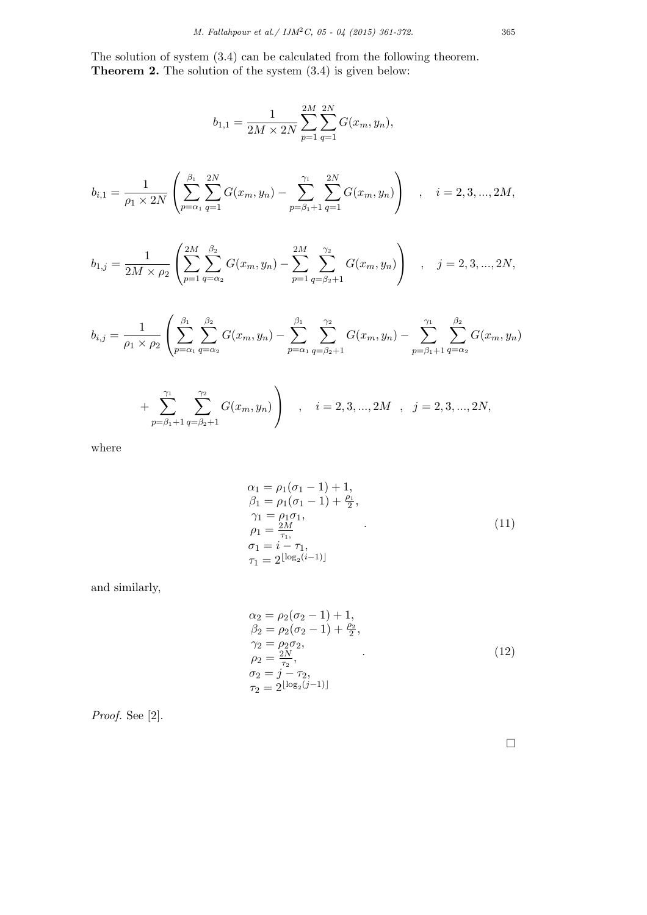The solution of system (3*.*4) can be calculated from the following theorem. **Theorem 2.** The solution of the system (3*.*4) is given below:

$$
b_{1,1} = \frac{1}{2M \times 2N} \sum_{p=1}^{2M} \sum_{q=1}^{2N} G(x_m, y_n),
$$

$$
b_{i,1} = \frac{1}{\rho_1 \times 2N} \left( \sum_{p=\alpha_1}^{\beta_1} \sum_{q=1}^{2N} G(x_m, y_n) - \sum_{p=\beta_1+1}^{\gamma_1} \sum_{q=1}^{2N} G(x_m, y_n) \right) , \quad i = 2, 3, ..., 2M,
$$

$$
b_{1,j} = \frac{1}{2M \times \rho_2} \left( \sum_{p=1}^{2M} \sum_{q=\alpha_2}^{\beta_2} G(x_m, y_n) - \sum_{p=1}^{2M} \sum_{q=\beta_2+1}^{\gamma_2} G(x_m, y_n) \right) , \quad j = 2, 3, ..., 2N,
$$

$$
b_{i,j} = \frac{1}{\rho_1 \times \rho_2} \left( \sum_{p=\alpha_1}^{\beta_1} \sum_{q=\alpha_2}^{\beta_2} G(x_m, y_n) - \sum_{p=\alpha_1}^{\beta_1} \sum_{q=\beta_2+1}^{\gamma_2} G(x_m, y_n) - \sum_{p=\beta_1+1}^{\gamma_1} \sum_{q=\alpha_2}^{\beta_2} G(x_m, y_n) \right)
$$
  
+ 
$$
\sum_{j=1}^{\gamma_1} \sum_{q=1}^{\gamma_2} G(x_m, y_n) + \sum_{j=1}^{\gamma_2} G(x_m, y_n) + \sum_{j=1}^{\gamma_3} \sum_{q=1}^{\gamma_4} G(x_m, y_n) + \sum_{j=1}^{\gamma_5} \sum_{q=1}^{\gamma_6} G(x_m, y_n) + \sum_{j=1}^{\gamma_7} \sum_{q=1}^{\gamma_8} G(x_m, y_n) + \sum_{j=1}^{\gamma_9} G(x_m, y_n) + \sum_{j=1}^{\gamma_8} G(x_m, y_n) + \sum_{j=1}^{\gamma_9} G(x_m, y_n) + \sum_{j=1}^{\gamma_9} G(x_m, y_n) + \sum_{j=1}^{\gamma_8} G(x_m, y_n) + \sum_{j=1}^{\gamma_9} G(x_m, y_n) + \sum_{j=1}^{\gamma_8} G(x_m, y_n) + \sum_{j=1}^{\gamma_9} G(x_m, y_n) + \sum_{j=1}^{\gamma_9} G(x_m, y_n) + \sum_{j=1}^{\gamma_8} G(x_m, y_n) + \sum_{j=1}^{\gamma_9} G(x_m, y_n) + \sum_{j=1}^{\gamma_8} G(x_m, y_n) + \sum_{j=1}^{\gamma_9} G(x_m, y_n) + \sum_{j=1}^{\gamma_9} G(x_m, y_n) + \sum_{j=1}^{\gamma_8} G(x_m, y_n) + \sum_{j=1}^{\gamma_9} G(x_m, y_n) + \sum_{j=1}^{\gamma_8} G(x_m, y_n) + \sum_{j=1}^{\gamma_9} G(x_m, y_n) + \sum_{j=1}^{\gamma_9} G(x_m, y_n) + \sum_{j=1}^{\gamma_9} G(x_m, y_n) + \sum_{j=1}^{\gamma_9} G(x_m, y_n) + \sum_{j=1}
$$

where

*p*=*β*1+1

*q*=*β*2+1

$$
\alpha_1 = \rho_1(\sigma_1 - 1) + 1,\n\beta_1 = \rho_1(\sigma_1 - 1) + \frac{\rho_1}{2},\n\gamma_1 = \rho_1 \sigma_1,\n\rho_1 = \frac{2M}{\tau_1},\n\sigma_1 = i - \tau_1,\n\tau_1 = 2^{\lfloor \log_2(i-1) \rfloor}
$$
\n(11)

and similarly,

$$
\alpha_2 = \rho_2(\sigma_2 - 1) + 1,\n\beta_2 = \rho_2(\sigma_2 - 1) + \frac{\rho_2}{2},\n\gamma_2 = \rho_2 \sigma_2,\n\rho_2 = \frac{2N}{\tau_2},\n\sigma_2 = j - \tau_2,\n\tau_2 = 2^{\lfloor \log_2(j-1) \rfloor}
$$
\n(12)

*Proof.* See [2].

□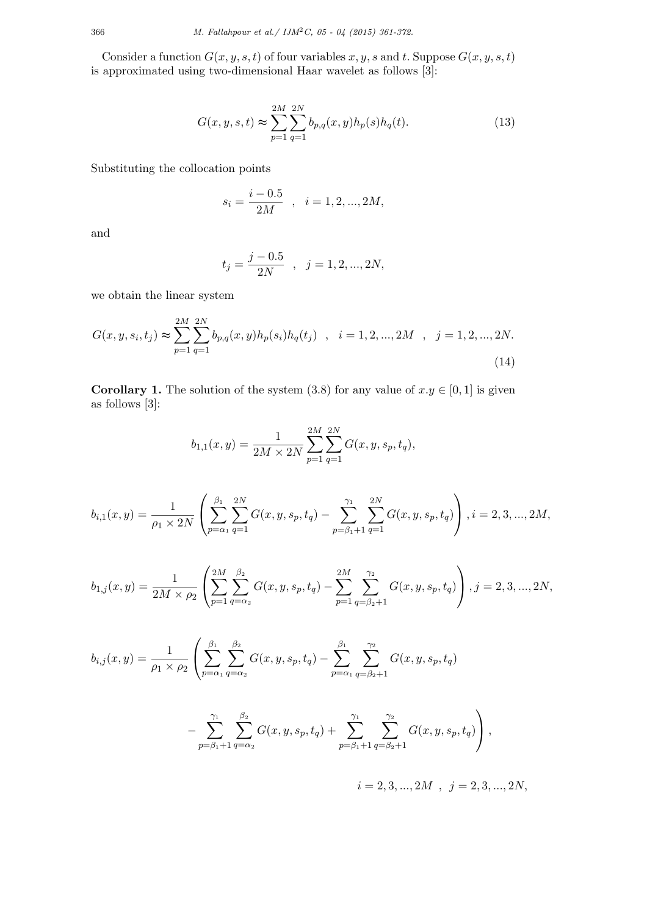Consider a function  $G(x, y, s, t)$  of four variables  $x, y, s$  and  $t$ . Suppose  $G(x, y, s, t)$ is approximated using two-dimensional Haar wavelet as follows [3]:

$$
G(x, y, s, t) \approx \sum_{p=1}^{2M} \sum_{q=1}^{2N} b_{p,q}(x, y) h_p(s) h_q(t).
$$
 (13)

Substituting the collocation points

$$
s_i = \frac{i - 0.5}{2M} \quad , \quad i = 1, 2, ..., 2M,
$$

and

$$
t_j = \frac{j-0.5}{2N} \quad , \quad j = 1, 2, ..., 2N,
$$

we obtain the linear system

$$
G(x, y, s_i, t_j) \approx \sum_{p=1}^{2M} \sum_{q=1}^{2N} b_{p,q}(x, y) h_p(s_i) h_q(t_j) , \quad i = 1, 2, ..., 2M , j = 1, 2, ..., 2N.
$$
\n(14)

**Corollary 1.** The solution of the system (3.8) for any value of  $x.y \in [0,1]$  is given as follows [3]:

$$
b_{1,1}(x,y) = \frac{1}{2M \times 2N} \sum_{p=1}^{2M} \sum_{q=1}^{2N} G(x,y,s_p,t_q),
$$

$$
b_{i,1}(x,y) = \frac{1}{\rho_1 \times 2N} \left( \sum_{p=\alpha_1}^{\beta_1} \sum_{q=1}^{2N} G(x,y,s_p,t_q) - \sum_{p=\beta_1+1}^{\gamma_1} \sum_{q=1}^{2N} G(x,y,s_p,t_q) \right), i = 2,3,...,2M,
$$

$$
b_{1,j}(x,y) = \frac{1}{2M \times \rho_2} \left( \sum_{p=1}^{2M} \sum_{q=\alpha_2}^{\beta_2} G(x,y,s_p,t_q) - \sum_{p=1}^{2M} \sum_{q=\beta_2+1}^{\gamma_2} G(x,y,s_p,t_q) \right), j = 2,3,...,2N,
$$

$$
b_{i,j}(x,y) = \frac{1}{\rho_1 \times \rho_2} \left( \sum_{p=\alpha_1}^{\beta_1} \sum_{q=\alpha_2}^{\beta_2} G(x,y,s_p,t_q) - \sum_{p=\alpha_1}^{\beta_1} \sum_{q=\beta_2+1}^{\gamma_2} G(x,y,s_p,t_q) \right)
$$

$$
- \sum_{p=\beta_1+1}^{\gamma_1} \sum_{q=\alpha_2}^{\beta_2} G(x, y, s_p, t_q) + \sum_{p=\beta_1+1}^{\gamma_1} \sum_{q=\beta_2+1}^{\gamma_2} G(x, y, s_p, t_q) \right),
$$

 $i = 2, 3, ..., 2M, j = 2, 3, ..., 2N,$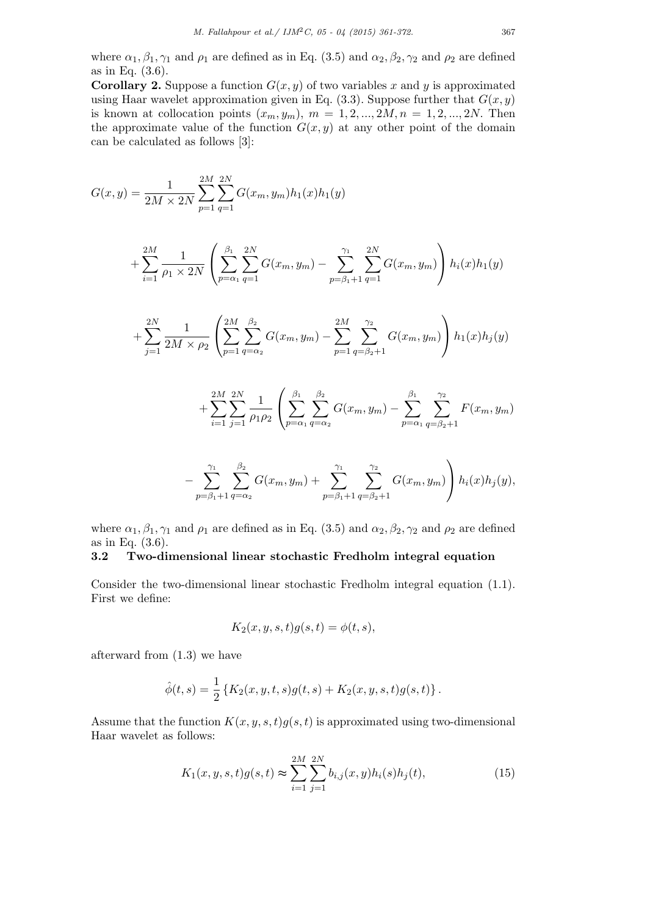where  $\alpha_1, \beta_1, \gamma_1$  and  $\rho_1$  are defined as in Eq. (3.5) and  $\alpha_2, \beta_2, \gamma_2$  and  $\rho_2$  are defined as in Eq. (3*.*6).

**Corollary 2.** Suppose a function  $G(x, y)$  of two variables x and y is approximated using Haar wavelet approximation given in Eq.  $(3.3)$ . Suppose further that  $G(x, y)$ is known at collocation points  $(x_m, y_m)$ ,  $m = 1, 2, ..., 2M, n = 1, 2, ..., 2N$ . Then the approximate value of the function  $G(x, y)$  at any other point of the domain can be calculated as follows [3]:

$$
G(x,y) = \frac{1}{2M \times 2N} \sum_{p=1}^{2M} \sum_{q=1}^{2N} G(x_m, y_m) h_1(x) h_1(y)
$$

$$
+\sum_{i=1}^{2M} \frac{1}{\rho_1 \times 2N} \left( \sum_{p=\alpha_1}^{\beta_1} \sum_{q=1}^{2N} G(x_m, y_m) - \sum_{p=\beta_1+1}^{\gamma_1} \sum_{q=1}^{2N} G(x_m, y_m) \right) h_i(x)h_1(y)
$$

$$
+\sum_{j=1}^{2N} \frac{1}{2M \times \rho_2} \left( \sum_{p=1}^{2M} \sum_{q=\alpha_2}^{\beta_2} G(x_m, y_m) - \sum_{p=1}^{2M} \sum_{q=\beta_2+1}^{\gamma_2} G(x_m, y_m) \right) h_1(x)h_j(y)
$$

$$
+\sum_{i=1}^{2M} \sum_{j=1}^{2N} \frac{1}{\rho_1 \rho_2} \left( \sum_{p=\alpha_1}^{\beta_1} \sum_{q=\alpha_2}^{\beta_2} G(x_m, y_m) - \sum_{p=\alpha_1}^{\beta_1} \sum_{q=\beta_2+1}^{\gamma_2} F(x_m, y_m) \right)
$$

$$
-\sum_{p=\beta_1+1}^{\gamma_1}\sum_{q=\alpha_2}^{\beta_2}G(x_m,y_m)+\sum_{p=\beta_1+1}^{\gamma_1}\sum_{q=\beta_2+1}^{\gamma_2}G(x_m,y_m)\right)h_i(x)h_j(y),
$$

where  $\alpha_1, \beta_1, \gamma_1$  and  $\rho_1$  are defined as in Eq. (3.5) and  $\alpha_2, \beta_2, \gamma_2$  and  $\rho_2$  are defined as in Eq. (3*.*6).

# **3.2 Two-dimensional linear stochastic Fredholm integral equation**

Consider the two-dimensional linear stochastic Fredholm integral equation (1*.*1). First we define:

$$
K_2(x, y, s, t)g(s, t) = \phi(t, s),
$$

afterward from (1*.*3) we have

$$
\hat{\phi}(t,s) = \frac{1}{2} \left\{ K_2(x,y,t,s)g(t,s) + K_2(x,y,s,t)g(s,t) \right\}.
$$

Assume that the function  $K(x, y, s, t)g(s, t)$  is approximated using two-dimensional Haar wavelet as follows:

$$
K_1(x, y, s, t)g(s, t) \approx \sum_{i=1}^{2M} \sum_{j=1}^{2N} b_{i,j}(x, y)h_i(s)h_j(t),
$$
\n(15)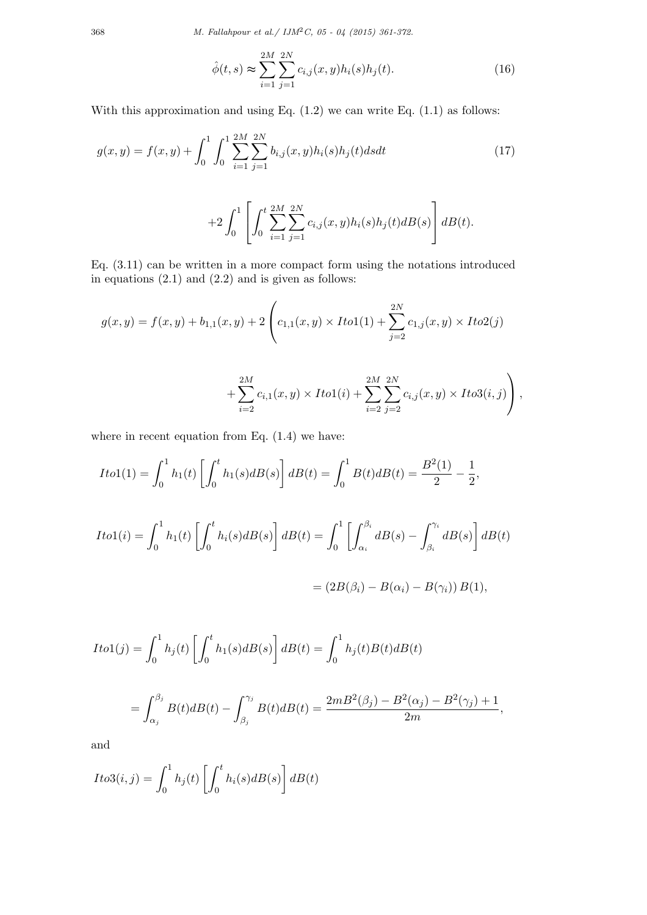368 *M. Fallahpour et al./ IJM*2*C, 05 - 04 (2015) 361-372.*

$$
\hat{\phi}(t,s) \approx \sum_{i=1}^{2M} \sum_{j=1}^{2N} c_{i,j}(x,y) h_i(s) h_j(t).
$$
\n(16)

With this approximation and using Eq. (1*.*2) we can write Eq. (1*.*1) as follows:

$$
g(x,y) = f(x,y) + \int_0^1 \int_0^1 \sum_{i=1}^{2M} \sum_{j=1}^{2N} b_{i,j}(x,y) h_i(s) h_j(t) ds dt
$$
 (17)

$$
+2\int_0^1\left[\int_0^t\sum_{i=1}^{2M}\sum_{j=1}^{2N}c_{i,j}(x,y)h_i(s)h_j(t)dB(s)\right]dB(t).
$$

Eq. (3*.*11) can be written in a more compact form using the notations introduced in equations (2*.*1) and (2*.*2) and is given as follows:

$$
g(x,y) = f(x,y) + b_{1,1}(x,y) + 2 \left( c_{1,1}(x,y) \times I \cdot t o 1(1) + \sum_{j=2}^{2N} c_{1,j}(x,y) \times I \cdot t o 2(j) \right)
$$

$$
+\sum_{i=2}^{2M} c_{i,1}(x,y) \times Ito1(i) + \sum_{i=2}^{2M} \sum_{j=2}^{2N} c_{i,j}(x,y) \times Ito3(i,j)\Bigg),
$$

where in recent equation from Eq. (1*.*4) we have:

$$
Ito1(1) = \int_0^1 h_1(t) \left[ \int_0^t h_1(s) dB(s) \right] dB(t) = \int_0^1 B(t) dB(t) = \frac{B^2(1)}{2} - \frac{1}{2},
$$
  
\n
$$
Ito1(i) = \int_0^1 h_1(t) \left[ \int_0^t h_i(s) dB(s) \right] dB(t) = \int_0^1 \left[ \int_{\alpha_i}^{\beta_i} dB(s) - \int_{\beta_i}^{\gamma_i} dB(s) \right] dB(t)
$$
  
\n
$$
= (2B(\beta_i) - B(\alpha_i) - B(\gamma_i)) B(1),
$$

$$
Ito1(j) = \int_0^1 h_j(t) \left[ \int_0^t h_1(s) dB(s) \right] dB(t) = \int_0^1 h_j(t) B(t) dB(t)
$$
  
= 
$$
\int_{\alpha_j}^{\beta_j} B(t) dB(t) - \int_{\beta_j}^{\gamma_j} B(t) dB(t) = \frac{2mB^2(\beta_j) - B^2(\alpha_j) - B^2(\gamma_j) + 1}{2m},
$$

and

$$
Ito3(i,j) = \int_0^1 h_j(t) \left[ \int_0^t h_i(s) dB(s) \right] dB(t)
$$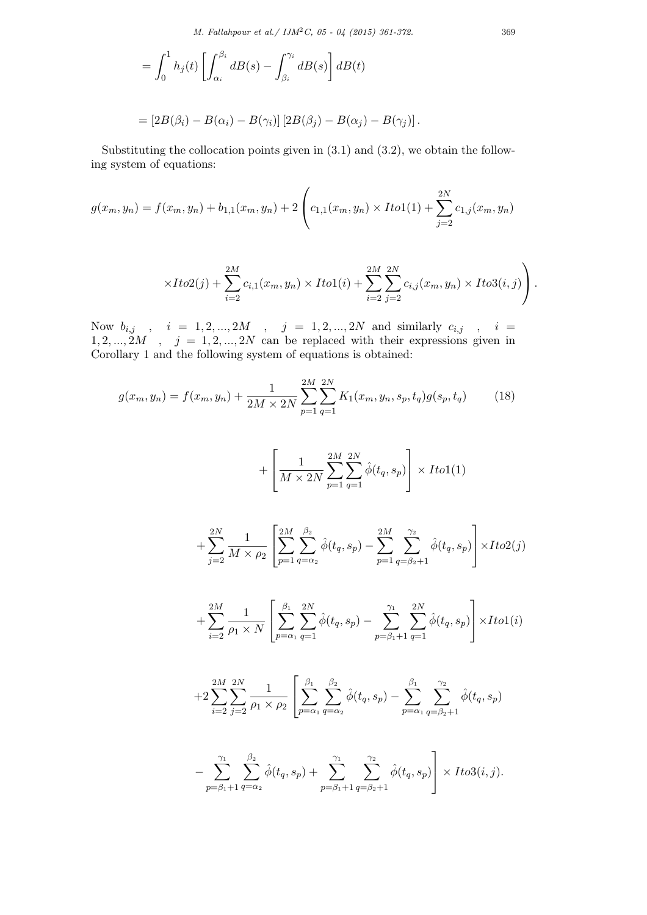$$
= \int_0^1 h_j(t) \left[ \int_{\alpha_i}^{\beta_i} dB(s) - \int_{\beta_i}^{\gamma_i} dB(s) \right] dB(t)
$$
  
= 
$$
[2B(\beta_i) - B(\alpha_i) - B(\gamma_i)] [2B(\beta_j) - B(\alpha_j) - B(\gamma_j)].
$$

Substituting the collocation points given in (3*.*1) and (3*.*2), we obtain the following system of equations:

$$
g(x_m, y_n) = f(x_m, y_n) + b_{1,1}(x_m, y_n) + 2 \left( c_{1,1}(x_m, y_n) \times I \cdot t o 1(1) + \sum_{j=2}^{2N} c_{1,j}(x_m, y_n) \right)
$$

$$
\times Ito2(j) + \sum_{i=2}^{2M} c_{i,1}(x_m, y_n) \times Ito1(i) + \sum_{i=2}^{2M} \sum_{j=2}^{2N} c_{i,j}(x_m, y_n) \times Ito3(i,j) \Bigg).
$$

Now  $b_{i,j}$ ,  $i = 1, 2, ..., 2M$ ,  $j = 1, 2, ..., 2N$  and similarly  $c_{i,j}$ ,  $i =$  $1, 2, \ldots, 2M$ ,  $j = 1, 2, \ldots, 2N$  can be replaced with their expressions given in Corollary 1 and the following system of equations is obtained:

$$
g(x_m, y_n) = f(x_m, y_n) + \frac{1}{2M \times 2N} \sum_{p=1}^{2M} \sum_{q=1}^{2N} K_1(x_m, y_n, s_p, t_q) g(s_p, t_q)
$$
(18)

$$
+\left[\frac{1}{M\times 2N}\sum_{p=1}^{2M}\sum_{q=1}^{2N}\hat{\phi}(t_q,s_p)\right]\times Ito1(1)
$$

$$
+\sum_{j=2}^{2N}\frac{1}{M\times\rho_{2}}\left[\sum_{p=1}^{2M}\sum_{q=\alpha_{2}}^{\beta_{2}}\hat{\phi}(t_{q},s_{p})-\sum_{p=1}^{2M}\sum_{q=\beta_{2}+1}^{\gamma_{2}}\hat{\phi}(t_{q},s_{p})\right]\times Ito2(j)
$$

$$
+\sum_{i=2}^{2M} \frac{1}{\rho_1 \times N} \left[ \sum_{p=\alpha_1}^{\beta_1} \sum_{q=1}^{2N} \hat{\phi}(t_q, s_p) - \sum_{p=\beta_1+1}^{\gamma_1} \sum_{q=1}^{2N} \hat{\phi}(t_q, s_p) \right] \times Ito1(i)
$$

$$
+2\sum_{i=2}^{2M}\sum_{j=2}^{2N}\frac{1}{\rho_1\times\rho_2}\left[\sum_{p=\alpha_1}^{\beta_1}\sum_{q=\alpha_2}^{\beta_2}\hat{\phi}(t_q,s_p)-\sum_{p=\alpha_1}^{\beta_1}\sum_{q=\beta_2+1}^{\gamma_2}\hat{\phi}(t_q,s_p)\right]
$$

$$
-\sum_{p=\beta_1+1}^{\gamma_1}\sum_{q=\alpha_2}^{\beta_2} \hat{\phi}(t_q,s_p) + \sum_{p=\beta_1+1}^{\gamma_1}\sum_{q=\beta_2+1}^{\gamma_2} \hat{\phi}(t_q,s_p)\Bigg] \times Ito3(i,j).
$$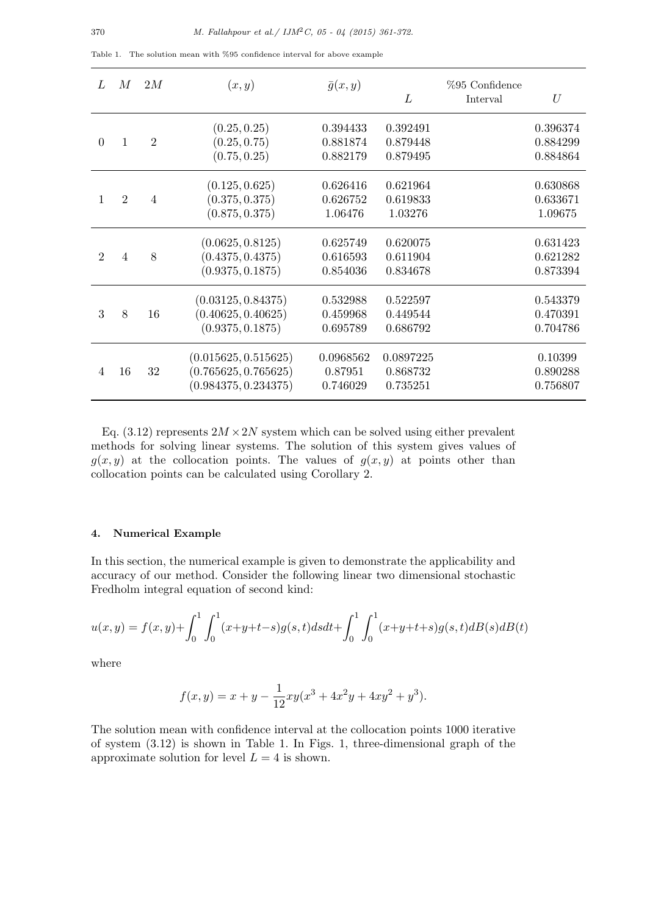| L              | M              | 2M             | (x,y)                                                                | $\bar{g}(x,y)$                   | L                                 | $%95$ Confidence<br>Interval | $\mathcal{U}$                    |
|----------------|----------------|----------------|----------------------------------------------------------------------|----------------------------------|-----------------------------------|------------------------------|----------------------------------|
| $\theta$       | 1              | $\overline{2}$ | (0.25, 0.25)<br>(0.25, 0.75)<br>(0.75, 0.25)                         | 0.394433<br>0.881874<br>0.882179 | 0.392491<br>0.879448<br>0.879495  |                              | 0.396374<br>0.884299<br>0.884864 |
|                | $\overline{2}$ | 4              | (0.125, 0.625)<br>(0.375, 0.375)<br>(0.875, 0.375)                   | 0.626416<br>0.626752<br>1.06476  | 0.621964<br>0.619833<br>1.03276   |                              | 0.630868<br>0.633671<br>1.09675  |
| $\overline{2}$ | 4              | 8              | (0.0625, 0.8125)<br>(0.4375, 0.4375)<br>(0.9375, 0.1875)             | 0.625749<br>0.616593<br>0.854036 | 0.620075<br>0.611904<br>0.834678  |                              | 0.631423<br>0.621282<br>0.873394 |
| 3              | 8              | 16             | (0.03125, 0.84375)<br>(0.40625, 0.40625)<br>(0.9375, 0.1875)         | 0.532988<br>0.459968<br>0.695789 | 0.522597<br>0.449544<br>0.686792  |                              | 0.543379<br>0.470391<br>0.704786 |
| 4              | 16             | 32             | (0.015625, 0.515625)<br>(0.765625, 0.765625)<br>(0.984375, 0.234375) | 0.0968562<br>0.87951<br>0.746029 | 0.0897225<br>0.868732<br>0.735251 |                              | 0.10399<br>0.890288<br>0.756807  |

Table 1. The solution mean with %95 confidence interval for above example

Eq.  $(3.12)$  represents  $2M \times 2N$  system which can be solved using either prevalent methods for solving linear systems. The solution of this system gives values of  $g(x, y)$  at the collocation points. The values of  $g(x, y)$  at points other than collocation points can be calculated using Corollary 2.

## **4. Numerical Example**

In this section, the numerical example is given to demonstrate the applicability and accuracy of our method. Consider the following linear two dimensional stochastic Fredholm integral equation of second kind:

$$
u(x,y) = f(x,y) + \int_0^1 \int_0^1 (x+y+t-s)g(s,t)dsdt + \int_0^1 \int_0^1 (x+y+t+s)g(s,t)dB(s)dB(t)
$$

where

$$
f(x,y) = x + y - \frac{1}{12}xy(x^{3} + 4x^{2}y + 4xy^{2} + y^{3}).
$$

The solution mean with confidence interval at the collocation points 1000 iterative of system (3*.*12) is shown in Table 1. In Figs. 1, three-dimensional graph of the approximate solution for level  $L = 4$  is shown.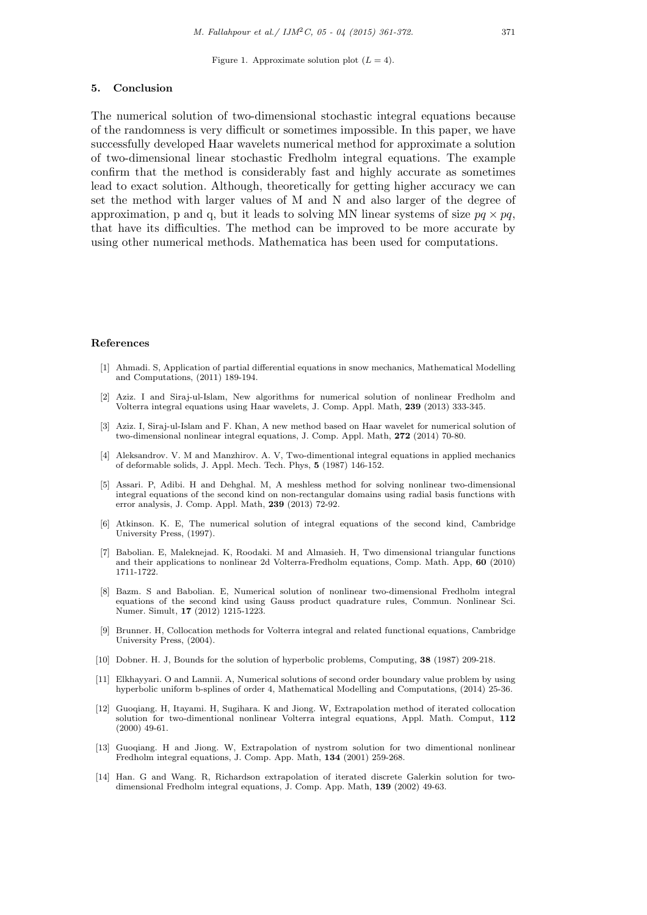Figure 1. Approximate solution plot  $(L = 4)$ .

#### **5. Conclusion**

The numerical solution of two-dimensional stochastic integral equations because of the randomness is very difficult or sometimes impossible. In this paper, we have successfully developed Haar wavelets numerical method for approximate a solution of two-dimensional linear stochastic Fredholm integral equations. The example confirm that the method is considerably fast and highly accurate as sometimes lead to exact solution. Although, theoretically for getting higher accuracy we can set the method with larger values of M and N and also larger of the degree of approximation, p and q, but it leads to solving MN linear systems of size  $pq \times pq$ , that have its difficulties. The method can be improved to be more accurate by using other numerical methods. Mathematica has been used for computations.

#### **References**

- [1] Ahmadi. S, Application of partial differential equations in snow mechanics, Mathematical Modelling and Computations, (2011) 189-194.
- [2] Aziz. I and Siraj-ul-Islam, New algorithms for numerical solution of nonlinear Fredholm and Volterra integral equations using Haar wavelets, J. Comp. Appl. Math, **239** (2013) 333-345.
- [3] Aziz. I, Siraj-ul-Islam and F. Khan, A new method based on Haar wavelet for numerical solution of two-dimensional nonlinear integral equations, J. Comp. Appl. Math, **272** (2014) 70-80.
- [4] Aleksandrov. V. M and Manzhirov. A. V, Two-dimentional integral equations in applied mechanics of deformable solids, J. Appl. Mech. Tech. Phys, **5** (1987) 146-152.
- [5] Assari. P, Adibi. H and Dehghal. M, A meshless method for solving nonlinear two-dimensional integral equations of the second kind on non-rectangular domains using radial basis functions with error analysis, J. Comp. Appl. Math, **239** (2013) 72-92.
- [6] Atkinson. K. E, The numerical solution of integral equations of the second kind, Cambridge University Press, (1997).
- [7] Babolian. E, Maleknejad. K, Roodaki. M and Almasieh. H, Two dimensional triangular functions and their applications to nonlinear 2d Volterra-Fredholm equations, Comp. Math. App, **60** (2010) 1711-1722.
- [8] Bazm. S and Babolian. E, Numerical solution of nonlinear two-dimensional Fredholm integral equations of the second kind using Gauss product quadrature rules, Commun. Nonlinear Sci. Numer. Simult, **17** (2012) 1215-1223.
- [9] Brunner. H, Collocation methods for Volterra integral and related functional equations, Cambridge University Press, (2004).
- [10] Dobner. H. J, Bounds for the solution of hyperbolic problems, Computing, **38** (1987) 209-218.
- [11] Elkhayyari. O and Lamnii. A, Numerical solutions of second order boundary value problem by using hyperbolic uniform b-splines of order 4, Mathematical Modelling and Computations, (2014) 25-36.
- [12] Guoqiang. H, Itayami. H, Sugihara. K and Jiong. W, Extrapolation method of iterated collocation solution for two-dimentional nonlinear Volterra integral equations, Appl. Math. Comput, **112** (2000) 49-61.
- [13] Guoqiang. H and Jiong. W, Extrapolation of nystrom solution for two dimentional nonlinear Fredholm integral equations, J. Comp. App. Math, **134** (2001) 259-268.
- [14] Han. G and Wang. R, Richardson extrapolation of iterated discrete Galerkin solution for twodimensional Fredholm integral equations, J. Comp. App. Math, **139** (2002) 49-63.